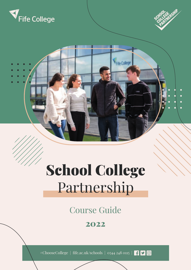



### School College Partnership

**V<sub>Fde</sub>** Colleg

Course Guide

### 2022

#ChooseCollege | fife.ac.uk/schools | 0344 248 0115 |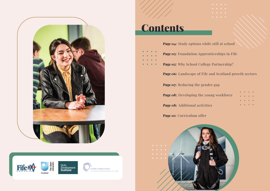



### **Contents**







- 
- 
- 
- Page 06: Landscape of Fife and Scotland growth sectors
	-

| young workforce |  | $\begin{array}{cccccccccccccc} \bullet & \bullet & \bullet & \bullet & \bullet & \bullet \end{array}$    |  |
|-----------------|--|----------------------------------------------------------------------------------------------------------|--|
|                 |  | $\bullet\quad\bullet\quad\bullet\quad\bullet$                                                            |  |
| <i>i</i> ties   |  | $\begin{array}{ccccccccccccccccc} \bullet & \bullet & \bullet & \bullet & \bullet & \bullet \end{array}$ |  |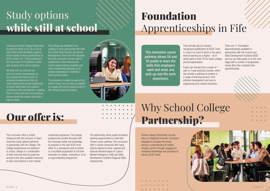# Study options while still at school

Working with our partners we aim is to ensure young people on our programmes have access to educational experiences that are work-relevant and provide opportunity to build a skills base that supports continuous skills development, enabling them to make informed and ambitious choices about the career route that's right for them.

Choosing a School College Partnership programme while in S4, S5 or S6 as part of the school timetable supports school pupils to study qualifications at SCQF Levels 4 to 7 that complement the Curriculum for Excellence, whilst also studying their school subjects.

Fife College are delighted to be working in close partnership with both the school Head Teacher, and Senior Management Team and Fife Education Services to provide a broad suite of qualifications that enhances the school subject options available and offers streamlined pathways on to positive destinations in identified sector growth areas.

The provision is mainly focused at the Senior Phase, but can also be adapted to engage with school pupils as part of their Broad General Education.



They will also get an industryrecognised qualification at SCQF Level 4, Level 5 or Level 6 which is the same level of learning as a Higher - all of which adds to their CV for future college and job applications.

Pupils can choose from a range of 1 year or 2 year practical courses, which can provide a pathway to careers in a range of booming sectors, from software development and care to engineering and creative industries.

## Our offer is:

There are 11 Foundation Apprenticeships available in partnership with Fife Council and Skills Development Scotland (SDS) and we can help pupils on to the next stage with a number of progression routes after they complete their apprenticeship.



# Foundation Apprenticeships in Fife

This innovative career pathway allows S4 and S5 pupils to learn the skills that employers want and need, and pick-up real-life work experience.

The curriculum offer is further enhanced with the inclusion of Open University study options delivered in partnership with the College. Fife College programmes are delivered in school, college or a combination of both ensuring that the pupil has access to the best available resources to learn and achieve in their chosen

vocational programme. The college programmes provide the pupil with the necessary skills and knowledge to progress to the next SCQF level either in a subsequent year at school or to facilitate progression to full-time education at college, university or on to an apprenticeship programme.

The partnership offers pupils increased learning opportunities to meet their chosen career pathway. The curriculum offer is further enhanced with many options aligned to local, regional and national demand based on Labour Market Intelligence (LMI) and Skills Development Scotland Regional Skills Assessments.

School College Partnership courses have an integrated inclusive curriculum designed to increase the young person's understanding of related industry sectors through engaging in workplace knowledge and practices at various SCQF levels.

# Why School College Partnership?

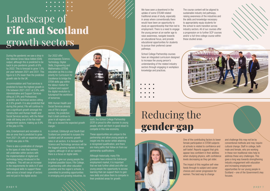During the pandemic we saw a drop in the national Gross Value Added (GVA) output, although this is predicted to be back to pre-pandemic growth of 6% by 2022. This is forecast to grow 1.8% per year between 2021 and 2031. This figure is 0.2% lower than the predicted growth rate for the UK.

Accommodation and Food services is predicted to have the highest growth in Fife between 2021-2031 at 3.9%, with Administrative and Support Services siting at 2.9% and Professional, Scientific and Technical sectors sitting at 2.6% growth. It is also predicted that during this period, Fife will continue to see a significant growth amongst the Construction and Human Health and Social Services sectors, with the Retail trade still being one of the five main employment sectors, making up 8.9% of the jobs in Fife.

Arts, Entertainment and recreation is also an area that is predicted to grow from 2021-24, with an expected growth of 600 new jobs in Fife.

There is also a predication of changes to the types of roles that workers will undertake within sectors with the implementation of digital and technology being introduced in the workplace. This will see an increase in the requirements for skills in IT and technological skills to support these roles across a broad range of sectors and not just in the digital sector.

In order to give our young people the brightest possible future, Fife College, in partnership with other education providers and the region's schools, is committed to providing opportunities in emerging and growing industries. As

Our 2022 offer encompasses Science, Technology, Digital Skills, Engineering and Mathematics (STEM) education as this is a key priority for Curriculum for Excellence to bridge the STEM skills gap within the labour market for Scotland and support the digital revolution to futureproof the workforce of tomorrow.

With Human Health and Social Services already one of Fife's largest sectors, the prediction that it shall continue to grow in all regions sets Fife up to exceed the expected growth margin.

We have seen a downtrend in the uptake of some STEAM related traditional areas of study, especially in areas where conventionally there would have been an opportunity to study an apprenticeship that then led to employment. There is a need to engage the young person at an earlier age to raise awareness, navigate towards an educational focus, and provide educational opportunities for students to pursue their preferred career pathways.

In contrast, Edinburgh and South East Scotland are predicted to surpass the Scottish and UK economic growth rates in all sectors. It is forecast that Science and Technology services will be the biggest growing markets in these regions, although in all our sectors there is a focus on digital skills.



such, the School College Partnership (SCP) is proud to offer courses to young people, which set them in good stead to compete in this new economy.

These opportunities are unique to the partnership and allow young people an insight into the sector whilst attaining a recognised qualification, and there are many paths that follow on from our partnership qualifications.

Although historically, many Fife graduates have entered the Edinburgh employment market, it is important that we look further afield and offer our young people the opportunity to access learning that can support them to gain new skills and allow them to compete in their predicted areas for growth.

# Landscape of Fife and Scotland growth sectors

School College Partnership courses have an integrated curriculum designed to increase the young person's understanding of the related industry sectors through engaging in workplace knowledge and practices.

- 
- 
- 

The course content will be aligned to sustainable industry led pathways, raising awareness of the industries and the skills and knowledge necessary to appropriately equip students for the school to work transition across industry sectors. All of our courses offer a progression on to further SCP courses and/or a full-time college course within

these studied areas.





# Reducing the gender gap

One of the contributing factors to lower female participation in STEM subjects at schools is related to confidence and self-belief. Reports suggest that girls appear less confident in their abilities when studying physics, with confidence levels decreasing as they get older.

The impact of this negative self-view feeds through to subject and career choices and career progression for women. The best way to change

and challenge this may not be by conventional methods and may require cultural change. Staff in college, both male and female, who are working in these non-traditional roles help to address these very challenges. This goes a long way towards strengthening industry engagement with education and increasing employment opportunities for our young people in Scotland – one of the Government's key focuses.

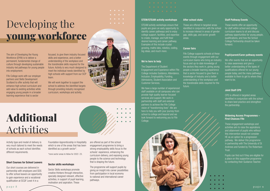The aim of Developing the Young Workforce (DYW) is to deliver a permanent, fundamental change of culture through developing sustainable industry-led pathways for young people into employment.

Fife College work with our employer partners and Skills Development Scotland to offer activity that will enhance high school curriculum and add value to existing activities while engaging young people in a broader learning experience that is sector

focused, to give them industry focused skills and experience, and a better understanding of the workplace and the transferable skills required for the future. Activity is very much designed to meet the individual needs identified by

Foundation Apprenticeship in Hospitality which is one of the areas that has been identified as a growth sector<sup>\*</sup>.

high schools with support from our SCP team. We will work together to support the school to address the identified targets through providing industry recognised

curriculum, workshops and activity.

Activity type and model of delivery is very much tailored to meet the needs of schools as each school identifies different requirements.

#### Short Courses for School Leavers

Our short courses are delivered in partnership with employers and SDS to offer school leavers an opportunity to gain experience and a vocational qualification at SCQF Level 4 in a

\*more sector areas to follow for 2022- 23.

#### Sector skills workshops

Sector Skills workshops promote creative thinkers through interactive, specially designed relevant, effective activities, in support of pupil learning, motivation and aspiration. These

are offered as part of the school engagement programme to bring a strong employability skills focus to the schools' experience, enhancing the curriculum delivery, and exposing young people to the science and technology that is shaping the future.

The programme will support pupils by giving an insight into career possibilities from participation in local economy to national and international career pathways.

Additional Activities

## Developing the young workforce

#### STEM/STEAM activity workshops

STEAM activity workshops ensure that pupils are given an early opportunity to identify career pathways and to enjoy college support, facilities, and expertise to create, manage, and fulfil their desired learning and career pathway. Examples of this include crystal growing, maths labs, robotics, coding, big ideas, and much more.

#### We're here to help

The Department of Student Engagement and Experience within Fife College includes Guidance, Attendance, Inclusion, Employability, Funding, Admissions, Student Association and Customer Services.

We have a large number of experienced staff available on all campuses who can provide high quality learner-focused services and support. We work in partnership with staff and external partners to achieve the Fife College vision of "transforming lives". We are here to help you with your journey from school to college and beyond and we look forward to welcoming you to Fife College.

#### After school clubs

These are offered in targeted areas identified in conjunction with the school to increase interest in areas of gender gap, skills gap, and sector growth areas.

#### Career fairs

Fife College supports schools at these

events through engagement with our curriculum teams who bring an industry focus and up-to-date knowledge of the sectors they work in, giving young people a broader learning experience that is sector focused to give them a knowledge of industry and a better understanding of the workplace and the transferable skills required for the future.

#### Staff Pathway Events

These events offer an opportunity for staff within school and college curriculum teams to sit and discuss pathway opportunities for young people, qualifications, and how the School College Partnership should be taken forward.

#### Pupil/parent/Carer pathway events

We offer events that are an opportunity to raise awareness and give a better understanding of the types of qualifications offered for our young people today, and the many pathways available to them to get to where they want to be.

#### Joint Staff CPD

CPD is offered in targeted areas identified in conjunction with the school to share best practice and strengthen the partnership.

#### Widening Access Programmes – First Chances Fife

These engagement workshops and activities aim to raise the aspirations and attainment of pupils who without this intervention would not consider HE as an option for a progression pathway. We deliver this programme in partnership with The University of St Andrews and funded by The Robertson Trust.

Pupils can find out if they are eligible for a place on this supportive programme by contacting their Guidance Teacher.

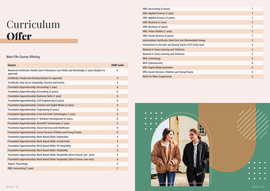# Curriculum **Offer**

#### West Fife Course Offering

HNC: Accounting (2 years) 7 **HNC: Applied Science (1 year)** HNC: Applied Science (2 years) 7 HNC: Business (1 year) HNC: Business (2 years) 7 HNC: Police Studies (1 year) 7 HNC: Social Science (2 years) 7 Intermediate Certificate: Shell Girls into (Renewable) Energ Introduction to the Hair and Beauty Sector VTCT Entry level **National 4: Early Learning and Childcare** National 5: Early Learning and Childcare NPA: Criminology NPA: Cybersecurity NPA: Digital Media Animation 5 NPA: Social Services, Children and Young People 6 **Skills for Work: Engineering** 

| <b>Course</b>                                                                                              | <b>SCQF Level</b> |
|------------------------------------------------------------------------------------------------------------|-------------------|
| Advanced Certificate: Health Care Professions, Care Skills and Knowledge (1 year) (Subject to<br>approval) | $6\phantom{1}6$   |
| Certificate: People and Society (Subject to approval)                                                      | $\overline{4}$    |
| Certificate: Step Up for Hospitality, Tourism and Events                                                   | $\overline{4}$    |
| <b>Foundation Apprenticeship: Accounting (1 year)</b>                                                      | $6\phantom{1}$    |
| <b>Foundation Apprenticeship: Accounting (2 years)</b>                                                     | $6\phantom{1}$    |
| <b>Foundation Apprenticeship: Business Skills (1 year)</b>                                                 | $6\phantom{1}$    |
| <b>Foundation Apprenticeship: Civil Engineering (2 years)</b>                                              | $6\phantom{1}$    |
| <b>Foundation Apprenticeship: Creative and Digital Media (2 years)</b>                                     | $6\phantom{1}$    |
| <b>Foundation Apprenticeship: Engineering (2 years)</b>                                                    | $6\phantom{1}$    |
| <b>Foundation Apprenticeship: Food and Drink Technologies (1 year)</b>                                     | $6\phantom{1}$    |
| <b>Foundation Apprenticeship: IT Software Development (2 years)</b>                                        | $6\phantom{1}$    |
| <b>Foundation Apprenticeship: Scientific Technologies (1 year)</b>                                         | $6\phantom{1}$    |
| <b>Foundation Apprenticeship: Social Services and Healthcare</b>                                           | $6\phantom{1}$    |
| <b>Foundation Apprenticeship: Social Services Children and Young People</b>                                | $6\phantom{1}$    |
| <b>Foundation Apprenticeship: Work Based Skills: Automotive</b>                                            | $\overline{4}$    |
| <b>Foundation Apprenticeship: Work Based Skills: Construction</b>                                          | $\overline{4}$    |
| <b>Foundation Apprenticeship: Work Based Skills: FA Hospitality</b>                                        | $\overline{4}$    |
| <b>Foundation Apprenticeship: Work Based Skills: Hospitality</b>                                           | $5\phantom{1}$    |
| Foundation Apprenticeship: Work Based Skills: Hospitality (Short Course Jan- June)                         | $\overline{4}$    |
| <b>Foundation Apprenticeship: Work Based Skills: Hospitality (Short Course June-Dec)</b>                   | $\overline{4}$    |
| <b>Higher: Psychology</b>                                                                                  | $6\phantom{1}$    |
| <b>HNC: Accounting (1 year)</b>                                                                            | $\overline{7}$    |



|   | $\overline{7}$          |
|---|-------------------------|
|   | $\overline{7}$          |
|   | $\overline{7}$          |
|   | $\overline{7}$          |
|   | $\overline{7}$          |
|   | $\overline{7}$          |
|   | $\overline{7}$          |
| y | $\overline{5}$          |
|   | $\overline{\mathbf{4}}$ |
|   | $\overline{\mathbf{4}}$ |
|   | 5                       |
|   | $\overline{5}$          |
|   | $\overline{6}$          |
|   | $\overline{5}$          |
|   | $\overline{6}$          |
|   | $\overline{5}$          |
|   |                         |